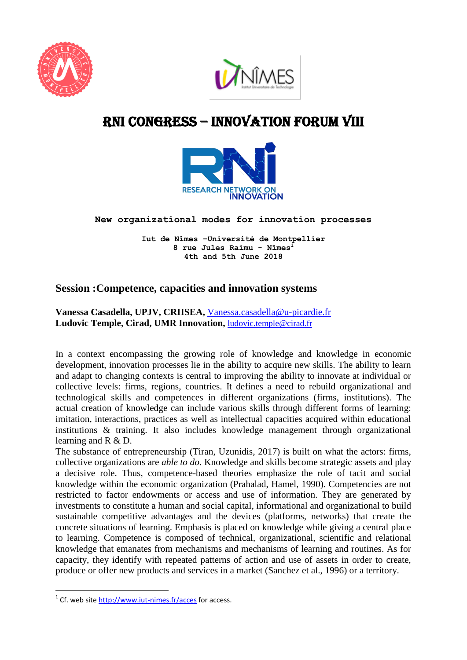



# RNI cONGRESS – innovation Forum VIII



#### **New organizational modes for innovation processes**

**Iut de Nîmes –Université de Montpellier 8 rue Jules Raimu - Nîmes<sup>1</sup> 4th and 5th June 2018**

## **Session :Competence, capacities and innovation systems**

**Vanessa Casadella, UPJV, CRIISEA,** [Vanessa.casadella@u-picardie.fr](mailto:Vanessa.casadella@u-picardie.fr) **Ludovic Temple, Cirad, UMR Innovation,** [ludovic.temple@cirad.fr](mailto:ludovic.temple@cirad.fr)

In a context encompassing the growing role of knowledge and knowledge in economic development, innovation processes lie in the ability to acquire new skills. The ability to learn and adapt to changing contexts is central to improving the ability to innovate at individual or collective levels: firms, regions, countries. It defines a need to rebuild organizational and technological skills and competences in different organizations (firms, institutions). The actual creation of knowledge can include various skills through different forms of learning: imitation, interactions, practices as well as intellectual capacities acquired within educational institutions & training. It also includes knowledge management through organizational learning and R & D.

The substance of entrepreneurship (Tiran, Uzunidis, 2017) is built on what the actors: firms, collective organizations are *able to do*. Knowledge and skills become strategic assets and play a decisive role. Thus, competence-based theories emphasize the role of tacit and social knowledge within the economic organization (Prahalad, Hamel, 1990). Competencies are not restricted to factor endowments or access and use of information. They are generated by investments to constitute a human and social capital, informational and organizational to build sustainable competitive advantages and the devices (platforms, networks) that create the concrete situations of learning. Emphasis is placed on knowledge while giving a central place to learning. Competence is composed of technical, organizational, scientific and relational knowledge that emanates from mechanisms and mechanisms of learning and routines. As for capacity, they identify with repeated patterns of action and use of assets in order to create, produce or offer new products and services in a market (Sanchez et al., 1996) or a territory.

**.** 

<sup>&</sup>lt;sup>1</sup> Cf. web site<http://www.iut-nimes.fr/acces> for access.